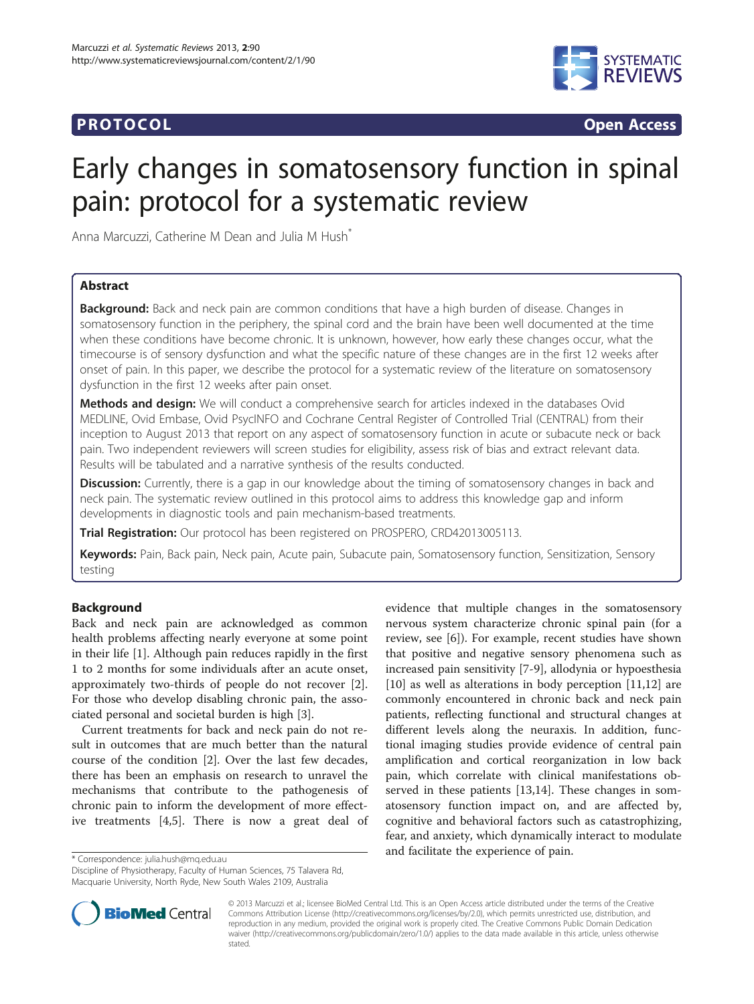# **PROTOCOL CONSUMING ACCESS**



# Early changes in somatosensory function in spinal pain: protocol for a systematic review

Anna Marcuzzi, Catherine M Dean and Julia M Hush<sup>\*</sup>

# Abstract

Background: Back and neck pain are common conditions that have a high burden of disease. Changes in somatosensory function in the periphery, the spinal cord and the brain have been well documented at the time when these conditions have become chronic. It is unknown, however, how early these changes occur, what the timecourse is of sensory dysfunction and what the specific nature of these changes are in the first 12 weeks after onset of pain. In this paper, we describe the protocol for a systematic review of the literature on somatosensory dysfunction in the first 12 weeks after pain onset.

Methods and design: We will conduct a comprehensive search for articles indexed in the databases Ovid MEDLINE, Ovid Embase, Ovid PsycINFO and Cochrane Central Register of Controlled Trial (CENTRAL) from their inception to August 2013 that report on any aspect of somatosensory function in acute or subacute neck or back pain. Two independent reviewers will screen studies for eligibility, assess risk of bias and extract relevant data. Results will be tabulated and a narrative synthesis of the results conducted.

Discussion: Currently, there is a gap in our knowledge about the timing of somatosensory changes in back and neck pain. The systematic review outlined in this protocol aims to address this knowledge gap and inform developments in diagnostic tools and pain mechanism-based treatments.

Trial Registration: Our protocol has been registered on PROSPERO, [CRD42013005113.](http://www.crd.york.ac.uk/PROSPERO/display_record.asp?ID=CRD42013005113)

Keywords: Pain, Back pain, Neck pain, Acute pain, Subacute pain, Somatosensory function, Sensitization, Sensory testing

## Background

Back and neck pain are acknowledged as common health problems affecting nearly everyone at some point in their life [[1\]](#page-4-0). Although pain reduces rapidly in the first 1 to 2 months for some individuals after an acute onset, approximately two-thirds of people do not recover [\[2](#page-4-0)]. For those who develop disabling chronic pain, the associated personal and societal burden is high [[3\]](#page-4-0).

Current treatments for back and neck pain do not result in outcomes that are much better than the natural course of the condition [[2](#page-4-0)]. Over the last few decades, there has been an emphasis on research to unravel the mechanisms that contribute to the pathogenesis of chronic pain to inform the development of more effective treatments [[4,5\]](#page-4-0). There is now a great deal of

evidence that multiple changes in the somatosensory nervous system characterize chronic spinal pain (for a review, see [[6\]](#page-4-0)). For example, recent studies have shown that positive and negative sensory phenomena such as increased pain sensitivity [\[7](#page-4-0)-[9\]](#page-4-0), allodynia or hypoesthesia [[10\]](#page-4-0) as well as alterations in body perception [[11,12\]](#page-4-0) are commonly encountered in chronic back and neck pain patients, reflecting functional and structural changes at different levels along the neuraxis. In addition, functional imaging studies provide evidence of central pain amplification and cortical reorganization in low back pain, which correlate with clinical manifestations observed in these patients [[13,14\]](#page-4-0). These changes in somatosensory function impact on, and are affected by, cognitive and behavioral factors such as catastrophizing, fear, and anxiety, which dynamically interact to modulate and facilitate the experience of pain. \* Correspondence: [julia.hush@mq.edu.au](mailto:julia.hush@mq.edu.au)

Discipline of Physiotherapy, Faculty of Human Sciences, 75 Talavera Rd, Macquarie University, North Ryde, New South Wales 2109, Australia



© 2013 Marcuzzi et al.; licensee BioMed Central Ltd. This is an Open Access article distributed under the terms of the Creative Commons Attribution License [\(http://creativecommons.org/licenses/by/2.0\)](http://creativecommons.org/licenses/by/2.0), which permits unrestricted use, distribution, and reproduction in any medium, provided the original work is properly cited. The Creative Commons Public Domain Dedication waiver [\(http://creativecommons.org/publicdomain/zero/1.0/\)](http://creativecommons.org/publicdomain/zero/1.0/) applies to the data made available in this article, unless otherwise stated.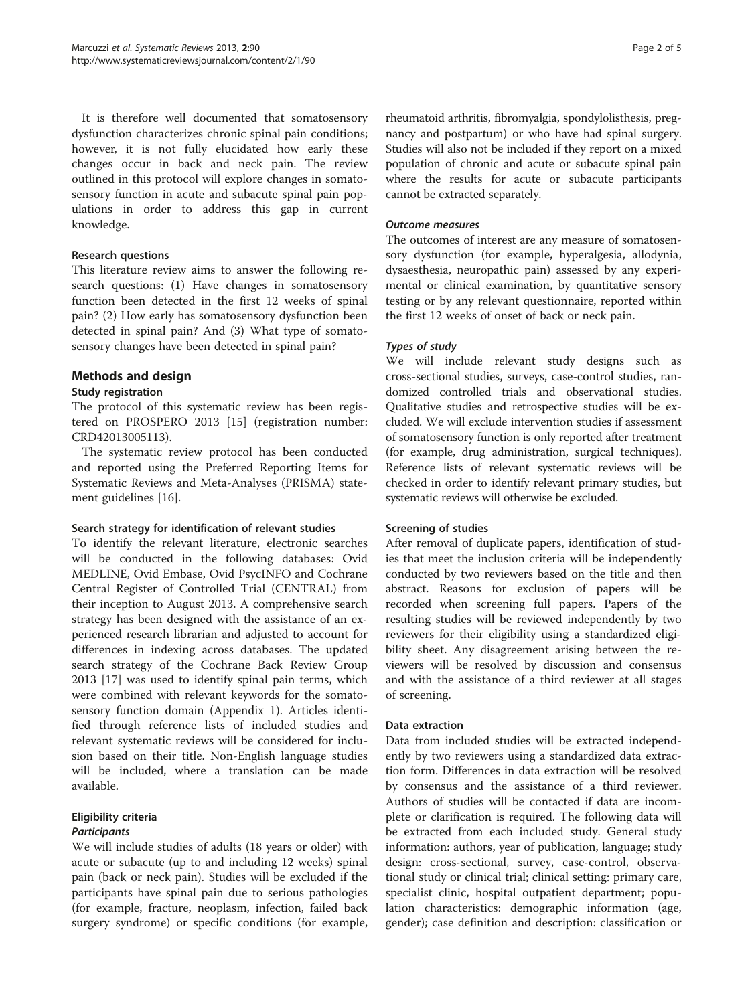It is therefore well documented that somatosensory dysfunction characterizes chronic spinal pain conditions; however, it is not fully elucidated how early these changes occur in back and neck pain. The review outlined in this protocol will explore changes in somatosensory function in acute and subacute spinal pain populations in order to address this gap in current knowledge.

## Research questions

This literature review aims to answer the following research questions: (1) Have changes in somatosensory function been detected in the first 12 weeks of spinal pain? (2) How early has somatosensory dysfunction been detected in spinal pain? And (3) What type of somatosensory changes have been detected in spinal pain?

# Methods and design

## Study registration

The protocol of this systematic review has been registered on PROSPERO 2013 [\[15\]](#page-4-0) (registration number: CRD42013005113).

The systematic review protocol has been conducted and reported using the Preferred Reporting Items for Systematic Reviews and Meta-Analyses (PRISMA) statement guidelines [[16\]](#page-4-0).

## Search strategy for identification of relevant studies

To identify the relevant literature, electronic searches will be conducted in the following databases: Ovid MEDLINE, Ovid Embase, Ovid PsycINFO and Cochrane Central Register of Controlled Trial (CENTRAL) from their inception to August 2013. A comprehensive search strategy has been designed with the assistance of an experienced research librarian and adjusted to account for differences in indexing across databases. The updated search strategy of the Cochrane Back Review Group 2013 [\[17](#page-4-0)] was used to identify spinal pain terms, which were combined with relevant keywords for the somatosensory function domain (Appendix [1\)](#page-3-0). Articles identified through reference lists of included studies and relevant systematic reviews will be considered for inclusion based on their title. Non-English language studies will be included, where a translation can be made available.

# Eligibility criteria

## **Participants**

We will include studies of adults (18 years or older) with acute or subacute (up to and including 12 weeks) spinal pain (back or neck pain). Studies will be excluded if the participants have spinal pain due to serious pathologies (for example, fracture, neoplasm, infection, failed back surgery syndrome) or specific conditions (for example, rheumatoid arthritis, fibromyalgia, spondylolisthesis, pregnancy and postpartum) or who have had spinal surgery. Studies will also not be included if they report on a mixed population of chronic and acute or subacute spinal pain where the results for acute or subacute participants cannot be extracted separately.

#### Outcome measures

The outcomes of interest are any measure of somatosensory dysfunction (for example, hyperalgesia, allodynia, dysaesthesia, neuropathic pain) assessed by any experimental or clinical examination, by quantitative sensory testing or by any relevant questionnaire, reported within the first 12 weeks of onset of back or neck pain.

## Types of study

We will include relevant study designs such as cross-sectional studies, surveys, case-control studies, randomized controlled trials and observational studies. Qualitative studies and retrospective studies will be excluded. We will exclude intervention studies if assessment of somatosensory function is only reported after treatment (for example, drug administration, surgical techniques). Reference lists of relevant systematic reviews will be checked in order to identify relevant primary studies, but systematic reviews will otherwise be excluded.

## Screening of studies

After removal of duplicate papers, identification of studies that meet the inclusion criteria will be independently conducted by two reviewers based on the title and then abstract. Reasons for exclusion of papers will be recorded when screening full papers. Papers of the resulting studies will be reviewed independently by two reviewers for their eligibility using a standardized eligibility sheet. Any disagreement arising between the reviewers will be resolved by discussion and consensus and with the assistance of a third reviewer at all stages of screening.

#### Data extraction

Data from included studies will be extracted independently by two reviewers using a standardized data extraction form. Differences in data extraction will be resolved by consensus and the assistance of a third reviewer. Authors of studies will be contacted if data are incomplete or clarification is required. The following data will be extracted from each included study. General study information: authors, year of publication, language; study design: cross-sectional, survey, case-control, observational study or clinical trial; clinical setting: primary care, specialist clinic, hospital outpatient department; population characteristics: demographic information (age, gender); case definition and description: classification or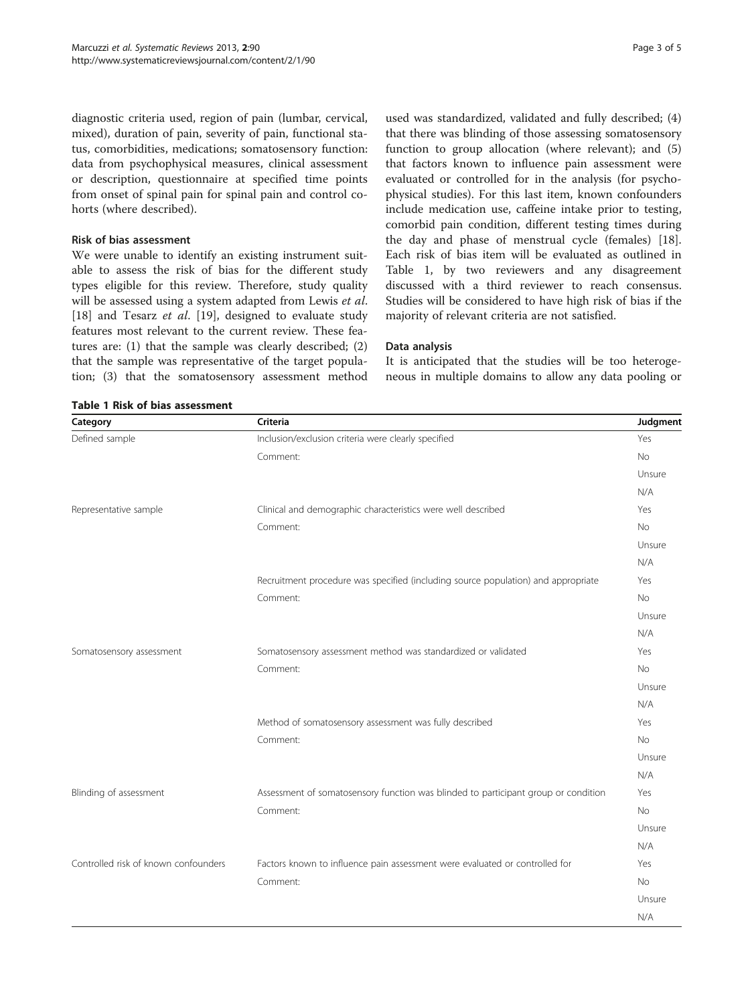diagnostic criteria used, region of pain (lumbar, cervical, mixed), duration of pain, severity of pain, functional status, comorbidities, medications; somatosensory function: data from psychophysical measures, clinical assessment or description, questionnaire at specified time points from onset of spinal pain for spinal pain and control cohorts (where described).

#### Risk of bias assessment

We were unable to identify an existing instrument suitable to assess the risk of bias for the different study types eligible for this review. Therefore, study quality will be assessed using a system adapted from Lewis et al. [[18\]](#page-4-0) and Tesarz et al. [\[19](#page-4-0)], designed to evaluate study features most relevant to the current review. These features are: (1) that the sample was clearly described; (2) that the sample was representative of the target population; (3) that the somatosensory assessment method

used was standardized, validated and fully described; (4) that there was blinding of those assessing somatosensory function to group allocation (where relevant); and (5) that factors known to influence pain assessment were evaluated or controlled for in the analysis (for psychophysical studies). For this last item, known confounders include medication use, caffeine intake prior to testing, comorbid pain condition, different testing times during the day and phase of menstrual cycle (females) [\[18](#page-4-0)]. Each risk of bias item will be evaluated as outlined in Table 1, by two reviewers and any disagreement discussed with a third reviewer to reach consensus. Studies will be considered to have high risk of bias if the majority of relevant criteria are not satisfied.

#### Data analysis

It is anticipated that the studies will be too heterogeneous in multiple domains to allow any data pooling or

| Category                             | Criteria                                                                           | Judgment  |
|--------------------------------------|------------------------------------------------------------------------------------|-----------|
| Defined sample                       | Inclusion/exclusion criteria were clearly specified                                | Yes       |
|                                      | Comment:                                                                           | No        |
|                                      |                                                                                    | Unsure    |
|                                      |                                                                                    | N/A       |
| Representative sample                | Clinical and demographic characteristics were well described                       | Yes       |
|                                      | Comment:                                                                           | <b>No</b> |
|                                      |                                                                                    | Unsure    |
|                                      |                                                                                    | N/A       |
|                                      | Recruitment procedure was specified (including source population) and appropriate  | Yes       |
|                                      | Comment:                                                                           | <b>No</b> |
|                                      |                                                                                    | Unsure    |
|                                      |                                                                                    | N/A       |
| Somatosensory assessment             | Somatosensory assessment method was standardized or validated                      | Yes       |
|                                      | Comment:                                                                           | <b>No</b> |
|                                      |                                                                                    | Unsure    |
|                                      |                                                                                    | N/A       |
|                                      | Method of somatosensory assessment was fully described                             | Yes       |
|                                      | Comment:                                                                           | <b>No</b> |
|                                      |                                                                                    | Unsure    |
|                                      |                                                                                    | N/A       |
| Blinding of assessment               | Assessment of somatosensory function was blinded to participant group or condition | Yes       |
|                                      | Comment:                                                                           | <b>No</b> |
|                                      |                                                                                    | Unsure    |
|                                      |                                                                                    | N/A       |
| Controlled risk of known confounders | Factors known to influence pain assessment were evaluated or controlled for        | Yes       |
|                                      | Comment:                                                                           | <b>No</b> |
|                                      |                                                                                    | Unsure    |
|                                      |                                                                                    | N/A       |

Table 1 Risk of bias assessment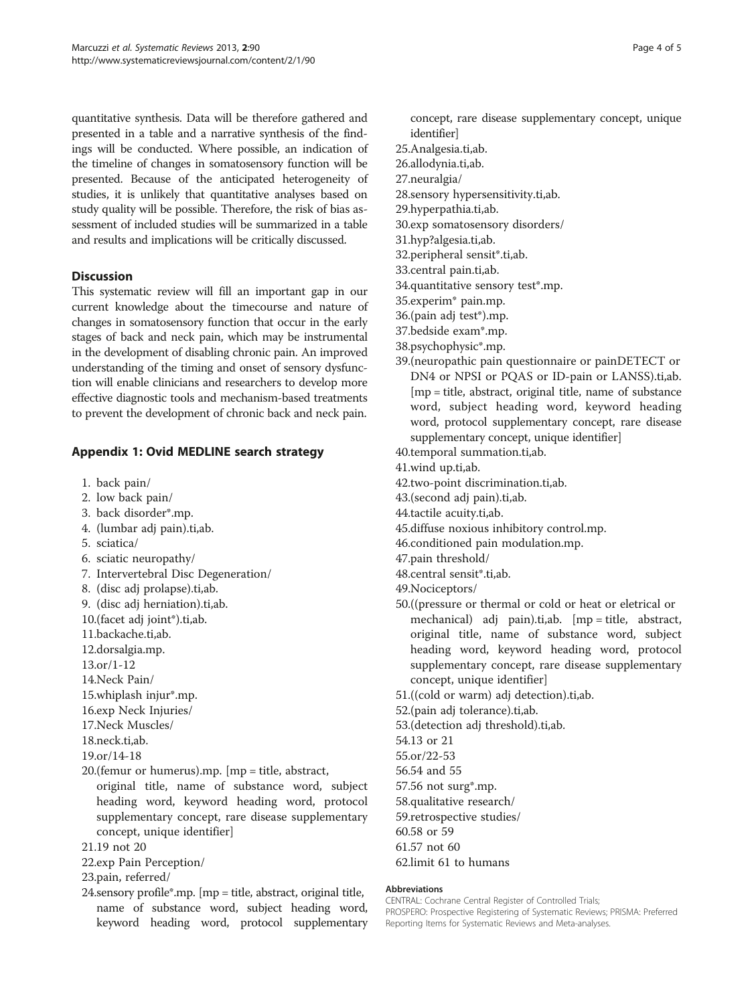<span id="page-3-0"></span>quantitative synthesis. Data will be therefore gathered and presented in a table and a narrative synthesis of the findings will be conducted. Where possible, an indication of the timeline of changes in somatosensory function will be presented. Because of the anticipated heterogeneity of studies, it is unlikely that quantitative analyses based on study quality will be possible. Therefore, the risk of bias assessment of included studies will be summarized in a table and results and implications will be critically discussed.

# **Discussion**

This systematic review will fill an important gap in our current knowledge about the timecourse and nature of changes in somatosensory function that occur in the early stages of back and neck pain, which may be instrumental in the development of disabling chronic pain. An improved understanding of the timing and onset of sensory dysfunction will enable clinicians and researchers to develop more effective diagnostic tools and mechanism-based treatments to prevent the development of chronic back and neck pain.

# Appendix 1: Ovid MEDLINE search strategy

- 1. back pain/
- 2. low back pain/
- 3. back disorder\*.mp.
- 4. (lumbar adj pain).ti,ab.
- 5. sciatica/
- 6. sciatic neuropathy/
- 7. Intervertebral Disc Degeneration/
- 8. (disc adj prolapse).ti,ab.
- 9. (disc adj herniation).ti,ab.
- 10.(facet adj joint\*).ti,ab.
- 11.backache.ti,ab.
- 12.dorsalgia.mp.
- 13.or/1-12
- 14.Neck Pain/
- 15.whiplash injur\*.mp.
- 16.exp Neck Injuries/
- 17.Neck Muscles/
- 18.neck.ti,ab.
- 19.or/14-18
- 20.(femur or humerus).mp. [mp = title, abstract,
- original title, name of substance word, subject heading word, keyword heading word, protocol supplementary concept, rare disease supplementary concept, unique identifier]
- 21.19 not 20
- 22.exp Pain Perception/
- 23.pain, referred/
- 24.sensory profile\*.mp. [mp = title, abstract, original title, name of substance word, subject heading word, keyword heading word, protocol supplementary
- concept, rare disease supplementary concept, unique identifier]
- 25.Analgesia.ti,ab.
- 26.allodynia.ti,ab.
- 27.neuralgia/
- 28.sensory hypersensitivity.ti,ab.
- 29.hyperpathia.ti,ab.
- 30.exp somatosensory disorders/
- 31.hyp?algesia.ti,ab.
- 32.peripheral sensit\*.ti,ab.
- 33.central pain.ti,ab.
- 34.quantitative sensory test\*.mp.
- 35.experim\* pain.mp.
- 36.(pain adj test\*).mp.
- 37.bedside exam\*.mp.
- 38.psychophysic\*.mp.
- 39.(neuropathic pain questionnaire or painDETECT or DN4 or NPSI or PQAS or ID-pain or LANSS).ti,ab. [mp = title, abstract, original title, name of substance word, subject heading word, keyword heading word, protocol supplementary concept, rare disease supplementary concept, unique identifier]

40.temporal summation.ti,ab.

- 41.wind up.ti,ab.
- 42.two-point discrimination.ti,ab.
- 43.(second adj pain).ti,ab.
- 44.tactile acuity.ti,ab.
- 45.diffuse noxious inhibitory control.mp.
- 46.conditioned pain modulation.mp.
- 47.pain threshold/
- 48.central sensit\*.ti,ab.
- 49.Nociceptors/
- 50.((pressure or thermal or cold or heat or eletrical or mechanical) adj pain).ti,ab. [mp = title, abstract, original title, name of substance word, subject heading word, keyword heading word, protocol supplementary concept, rare disease supplementary concept, unique identifier]
- 51.((cold or warm) adj detection).ti,ab.
- 52.(pain adj tolerance).ti,ab.
- 53.(detection adj threshold).ti,ab.
- 54.13 or 21
- 55.or/22-53
- 56.54 and 55
- 57.56 not surg\*.mp.
- 58.qualitative research/
- 59.retrospective studies/
- 60.58 or 59
- 61.57 not 60
- 62.limit 61 to humans

#### Abbreviations

CENTRAL: Cochrane Central Register of Controlled Trials; PROSPERO: Prospective Registering of Systematic Reviews; PRISMA: Preferred Reporting Items for Systematic Reviews and Meta-analyses.